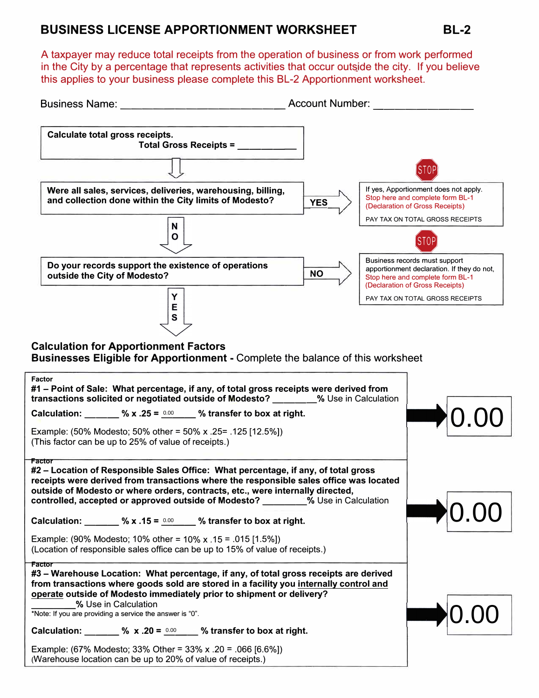## **BUSINESS LICENSE APPORTIONMENT WORKSHEET BL-2**

A taxpayer may reduce total receipts from the operation of business or from work performed in the City by a percentage that represents activities that occur outside the city. If you believe this applies to your business please complete this BL-2 Apportionment worksheet.

| <b>Business Name:</b> Account Number: Account Number:                                                                                                                                                                                                                                                                                                  |            |                                                                                                                                                    |  |
|--------------------------------------------------------------------------------------------------------------------------------------------------------------------------------------------------------------------------------------------------------------------------------------------------------------------------------------------------------|------------|----------------------------------------------------------------------------------------------------------------------------------------------------|--|
| Calculate total gross receipts.<br>Total Gross Receipts =                                                                                                                                                                                                                                                                                              |            |                                                                                                                                                    |  |
|                                                                                                                                                                                                                                                                                                                                                        |            | <b>STOP</b>                                                                                                                                        |  |
| Were all sales, services, deliveries, warehousing, billing,<br>and collection done within the City limits of Modesto?                                                                                                                                                                                                                                  | <b>YES</b> | If yes, Apportionment does not apply.<br>Stop here and complete form BL-1<br>(Declaration of Gross Receipts)                                       |  |
| N                                                                                                                                                                                                                                                                                                                                                      |            | PAY TAX ON TOTAL GROSS RECEIPTS                                                                                                                    |  |
| O                                                                                                                                                                                                                                                                                                                                                      |            | [STOP]                                                                                                                                             |  |
| Do your records support the existence of operations<br>outside the City of Modesto?                                                                                                                                                                                                                                                                    | <b>NO</b>  | Business records must support<br>apportionment declaration. If they do not,<br>Stop here and complete form BL-1<br>(Declaration of Gross Receipts) |  |
| Y<br>Е<br>$\mathbf s$                                                                                                                                                                                                                                                                                                                                  |            | PAY TAX ON TOTAL GROSS RECEIPTS                                                                                                                    |  |
| <b>Calculation for Apportionment Factors</b><br><b>Businesses Eligible for Apportionment - Complete the balance of this worksheet</b>                                                                                                                                                                                                                  |            |                                                                                                                                                    |  |
| <b>Factor</b><br>#1 - Point of Sale: What percentage, if any, of total gross receipts were derived from<br>transactions solicited or negotiated outside of Modesto? _______% Use in Calculation                                                                                                                                                        |            |                                                                                                                                                    |  |
| Calculation: ______ % x .25 = $0.00$ % transfer to box at right.                                                                                                                                                                                                                                                                                       |            |                                                                                                                                                    |  |
| Example: (50% Modesto; 50% other = 50% x .25= .125 [12.5%])<br>(This factor can be up to 25% of value of receipts.)                                                                                                                                                                                                                                    |            |                                                                                                                                                    |  |
| Factor<br>#2 – Location of Responsible Sales Office: What percentage, if any, of total gross<br>receipts were derived from transactions where the responsible sales office was located<br>outside of Modesto or where orders, contracts, etc., were internally directed,<br>controlled, accepted or approved outside of Modesto? We Use in Calculation |            |                                                                                                                                                    |  |
| Calculation: ______ % x .15 = $0.00$ % transfer to box at right.                                                                                                                                                                                                                                                                                       |            |                                                                                                                                                    |  |
| Example: (90% Modesto; 10% other = 10% x .15 = .015 [1.5%])<br>(Location of responsible sales office can be up to 15% of value of receipts.)                                                                                                                                                                                                           |            |                                                                                                                                                    |  |
| Factor<br>#3 - Warehouse Location: What percentage, if any, of total gross receipts are derived<br>from transactions where goods sold are stored in a facility you internally control and<br>operate outside of Modesto immediately prior to shipment or delivery?<br>% Use in Calculation<br>*Note: If you are providing a service the answer is "0". |            |                                                                                                                                                    |  |
| Calculation: ______ % x .20 = $\frac{0.00}{2}$ % transfer to box at right.                                                                                                                                                                                                                                                                             |            |                                                                                                                                                    |  |
| Example: (67% Modesto; 33% Other = $33\%$ x .20 = .066 [6.6%])<br>(Warehouse location can be up to 20% of value of receipts.)                                                                                                                                                                                                                          |            |                                                                                                                                                    |  |